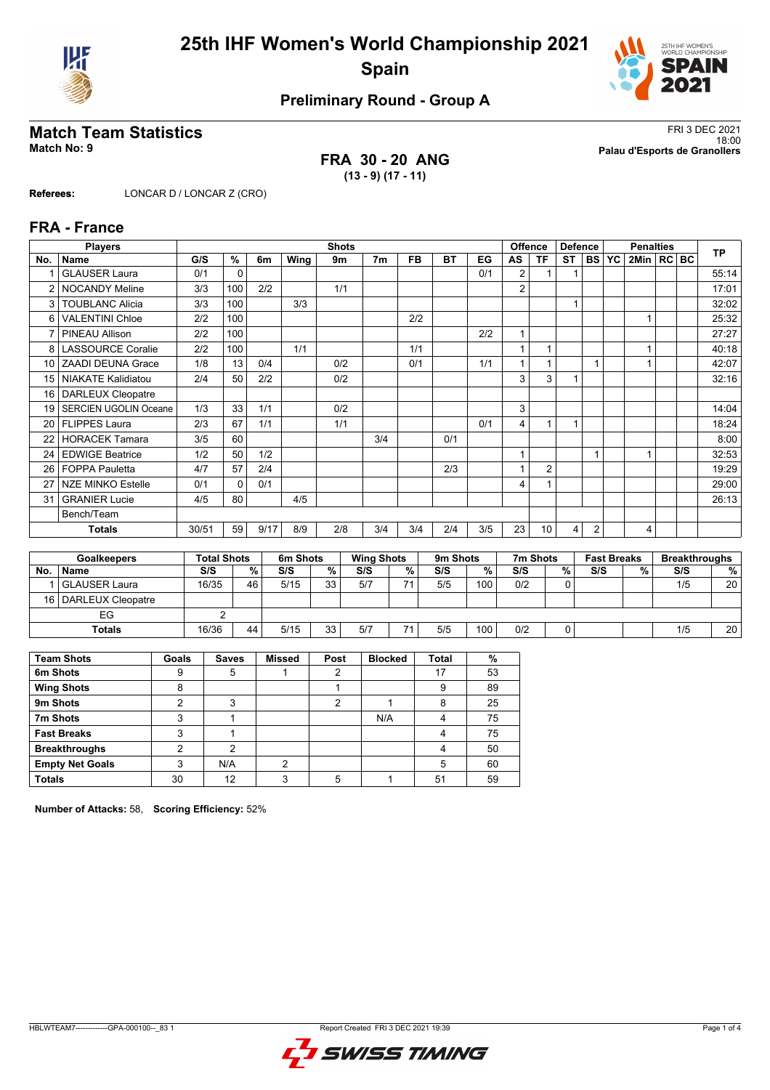



# **Preliminary Round - Group A**

### **FRA 30 - 20 ANG (13 - 9) (17 - 11)**

**Match Team Statistics** FRI 3 DEC 2021 18:00 **Match No: 9 Palau d'Esports de Granollers**

**Referees:** LONCAR D / LONCAR Z (CRO)

### **FRA - France**

|                | <b>Players</b>               |       |                    |      |                      | <b>Shots</b> |                   |           |           |     |                | <b>Offence</b>  | <b>Defence</b> |                |                    | <b>Penalties</b> |         | <b>TP</b>            |
|----------------|------------------------------|-------|--------------------|------|----------------------|--------------|-------------------|-----------|-----------|-----|----------------|-----------------|----------------|----------------|--------------------|------------------|---------|----------------------|
| No.            | <b>Name</b>                  | G/S   | %                  | 6m   | Wing                 | 9m           | 7 <sub>m</sub>    | <b>FB</b> | <b>BT</b> | EG  | AS             | <b>TF</b>       | <b>ST</b>      | <b>BS</b>      | <b>YC</b>          | 2Min             | $RC$ BC |                      |
|                | <b>GLAUSER Laura</b>         | 0/1   | $\Omega$           |      |                      |              |                   |           |           | 0/1 | 2              |                 |                |                |                    |                  |         | 55:14                |
| $\overline{2}$ | <b>NOCANDY Meline</b>        | 3/3   | 100                | 2/2  |                      | 1/1          |                   |           |           |     | 2              |                 |                |                |                    |                  |         | 17:01                |
| 3              | <b>TOUBLANC Alicia</b>       | 3/3   | 100                |      | 3/3                  |              |                   |           |           |     |                |                 | 1              |                |                    |                  |         | 32:02                |
| 6              | <b>VALENTINI Chloe</b>       | 2/2   | 100                |      |                      |              |                   | 2/2       |           |     |                |                 |                |                |                    |                  |         | 25:32                |
|                | <b>PINEAU Allison</b>        | 2/2   | 100                |      |                      |              |                   |           |           | 2/2 | $\overline{ }$ |                 |                |                |                    |                  |         | 27:27                |
| 8              | <b>LASSOURCE Coralie</b>     | 2/2   | 100                |      | 1/1                  |              |                   | 1/1       |           |     |                |                 |                |                |                    |                  |         | 40:18                |
| 10             | <b>ZAADI DEUNA Grace</b>     | 1/8   | 13                 | 0/4  |                      | 0/2          |                   | 0/1       |           | 1/1 | $\overline{ }$ |                 |                |                |                    |                  |         | 42:07                |
| 15             | <b>NIAKATE Kalidiatou</b>    | 2/4   | 50                 | 2/2  |                      | 0/2          |                   |           |           |     | 3              | 3               |                |                |                    |                  |         | 32:16                |
| 16             | <b>DARLEUX Cleopatre</b>     |       |                    |      |                      |              |                   |           |           |     |                |                 |                |                |                    |                  |         |                      |
| 19             | <b>SERCIEN UGOLIN Oceane</b> | 1/3   | 33                 | 1/1  |                      | 0/2          |                   |           |           |     | 3              |                 |                |                |                    |                  |         | 14:04                |
| 20             | <b>FLIPPES Laura</b>         | 2/3   | 67                 | 1/1  |                      | 1/1          |                   |           |           | 0/1 | 4              |                 | 1              |                |                    |                  |         | 18:24                |
| 22             | <b>HORACEK Tamara</b>        | 3/5   | 60                 |      |                      |              | 3/4               |           | 0/1       |     |                |                 |                |                |                    |                  |         | 8:00                 |
| 24             | <b>EDWIGE Beatrice</b>       | 1/2   | 50                 | 1/2  |                      |              |                   |           |           |     | 1              |                 |                |                |                    |                  |         | 32:53                |
| 26             | <b>FOPPA Pauletta</b>        | 4/7   | 57                 | 2/4  |                      |              |                   |           | 2/3       |     |                | $\overline{2}$  |                |                |                    |                  |         | 19:29                |
| 27             | <b>NZE MINKO Estelle</b>     | 0/1   | $\Omega$           | 0/1  |                      |              |                   |           |           |     | 4              |                 |                |                |                    |                  |         | 29:00                |
| 31             | <b>GRANIER Lucie</b>         | 4/5   | 80                 |      | 4/5                  |              |                   |           |           |     |                |                 |                |                |                    |                  |         | 26:13                |
|                | Bench/Team                   |       |                    |      |                      |              |                   |           |           |     |                |                 |                |                |                    |                  |         |                      |
|                | <b>Totals</b>                | 30/51 | 59                 | 9/17 | 8/9                  | 2/8          | 3/4               | 3/4       | 2/4       | 3/5 | 23             | 10 <sup>1</sup> | 4              | $\overline{2}$ |                    | $\overline{4}$   |         |                      |
|                |                              |       |                    |      |                      |              |                   |           |           |     |                |                 |                |                |                    |                  |         |                      |
|                | <b>Goalkeepers</b>           |       | <b>Total Shots</b> |      | 6 <sub>m</sub> Shots |              | <b>Wing Shots</b> |           | 9m Shots  |     |                | 7m Shots        |                |                | <b>Fast Breaks</b> |                  |         | <b>Breakthroughs</b> |

|     | <b>Goalkeepers</b>     | Total Shots |    | 6m Shots |    | <b>Wing Shots</b> |    | 9 <sub>m</sub> Shots |     | 7m Shots |   | <b>Fast Breaks</b> |   | Breakthroughs |    |
|-----|------------------------|-------------|----|----------|----|-------------------|----|----------------------|-----|----------|---|--------------------|---|---------------|----|
| No. | <b>Name</b>            | S/S         | %  | S/S      | %  | S/S               | %  | S/S                  | %   | S/S      | % | S/S                | % | S/S           | %  |
|     | l GLAUSER Laura        | 16/35       | 46 | 5/15     | 33 | 5/7               | 74 | 5/5                  | 100 | 0/2      | 0 |                    |   | 1/5           | 20 |
|     | 16   DARLEUX Cleopatre |             |    |          |    |                   |    |                      |     |          |   |                    |   |               |    |
|     | EG                     |             |    |          |    |                   |    |                      |     |          |   |                    |   |               |    |
|     | <b>Totals</b>          | 16/36       | 44 | 5/15     | 33 | 5/7               |    | 5/5                  | 100 | 0/2      |   |                    |   | 1/5           | 20 |

| <b>Team Shots</b>      | Goals | <b>Saves</b> | <b>Missed</b> | Post | <b>Blocked</b> | <b>Total</b> | %  |
|------------------------|-------|--------------|---------------|------|----------------|--------------|----|
| 6m Shots               | 9     | 5            |               | 2    |                | 17           | 53 |
| <b>Wing Shots</b>      | 8     |              |               |      |                | 9            | 89 |
| 9m Shots               | っ     | っ            |               |      |                | 8            | 25 |
| 7m Shots               | 3     |              |               |      | N/A            | 4            | 75 |
| <b>Fast Breaks</b>     | 3     |              |               |      |                | 4            | 75 |
| <b>Breakthroughs</b>   | ◠     | ◠            |               |      |                | 4            | 50 |
| <b>Empty Net Goals</b> | 3     | N/A          | ◠             |      |                | 5            | 60 |
| <b>Totals</b>          | 30    | 12           |               |      |                | 51           | 59 |

**Number of Attacks:** 58, **Scoring Efficiency:** 52%

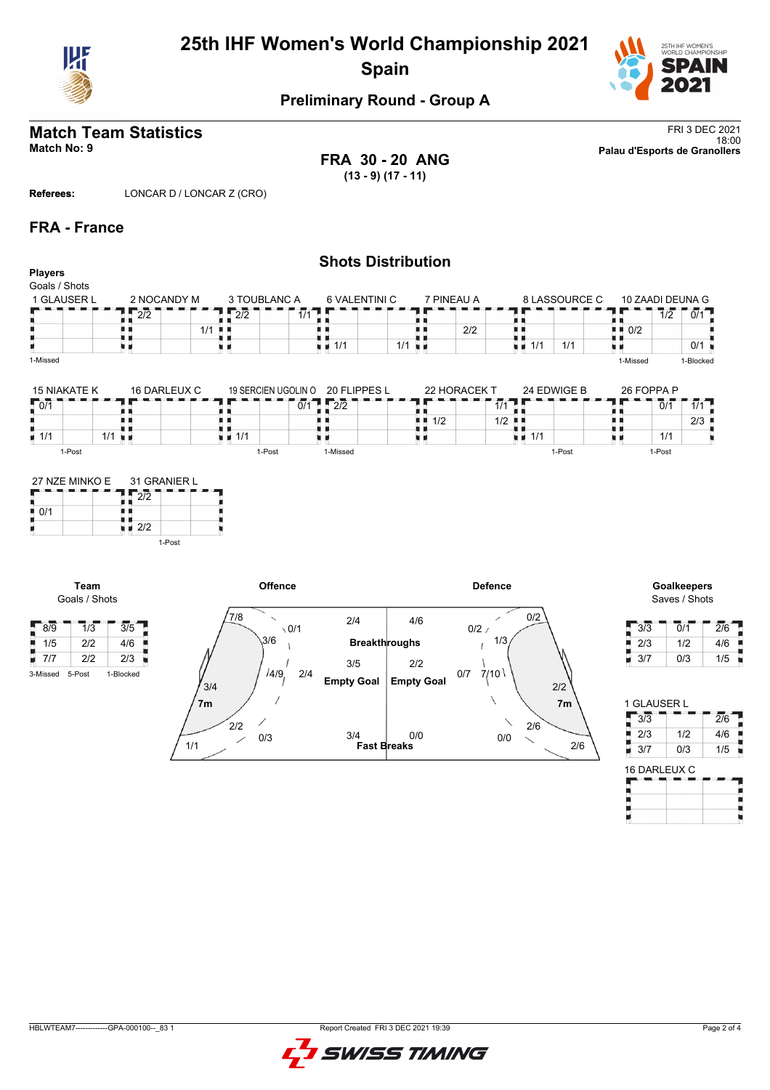

# **25th IHF Women's World Championship 2021 Spain**



# **Preliminary Round - Group A**

**FRA 30 - 20 ANG (13 - 9) (17 - 11)**

**Match Team Statistics** FRI 3 DEC 2021 18:00 **Match No: 9 Palau d'Esports de Granollers**

**Referees:** LONCAR D / LONCAR Z (CRO)

1/1

0/3

╱

### **FRA - France**

|                              |                        |                    |                                                | <b>Shots Distribution</b>         |                |                                   |                |                    |                             |                              |
|------------------------------|------------------------|--------------------|------------------------------------------------|-----------------------------------|----------------|-----------------------------------|----------------|--------------------|-----------------------------|------------------------------|
| <b>Players</b>               |                        |                    |                                                |                                   |                |                                   |                |                    |                             |                              |
| Goals / Shots<br>1 GLAUSER L | 2 NOCANDY M            | 3 TOUBLANC A       |                                                | 6 VALENTINI C                     | 7 PINEAU A     |                                   | 8 LASSOURCE C  | 10 ZAADI DEUNA G   |                             |                              |
|                              |                        |                    |                                                |                                   |                |                                   |                |                    |                             |                              |
|                              | $\overline{2/2}$       | $\sqrt{2}/2$       | 1/1                                            |                                   |                | . .<br>. .                        |                | ш.                 | $\overline{1/2}$            | 0/1                          |
|                              |                        | $1/1$ .            |                                                |                                   | 2/2            | U B                               |                | $\blacksquare$ 0/2 |                             |                              |
|                              | uн                     | u n                | $\blacksquare$ 1/1                             | $1/1$ $\blacksquare$              |                | $\blacksquare$ 1/1                | 1/1            |                    |                             | 0/1                          |
| 1-Missed                     |                        |                    |                                                |                                   |                |                                   |                | 1-Missed           |                             | 1-Blocked                    |
| <b>15 NIAKATE K</b>          | 16 DARLEUX C           |                    | 20 FLIPPES L<br>19 SERCIEN UGOLIN O            |                                   | 22 HORACEK T   |                                   | 24 EDWIGE B    | 26 FOPPA P         |                             |                              |
| $\sqrt{0/1}$                 |                        |                    | $\overline{2}\overline{2}$<br>$\overline{0/1}$ |                                   |                | $\bar{1}/\bar{1}$                 |                |                    | $\overline{0}/\overline{1}$ | 1/1                          |
|                              |                        | ■■                 |                                                | $\blacksquare$ $\blacksquare$ 1/2 |                | $1/2$ $\blacksquare$              |                | ш.                 |                             | 2/3                          |
| $\blacksquare$ 1/1           | $1/1$ $\blacksquare$   | $\blacksquare$ 1/1 |                                                | u d                               |                | $\blacksquare$ $\blacksquare$ 1/1 |                | н.                 | 1/1                         |                              |
| 1-Post                       |                        | 1-Post             | 1-Missed                                       |                                   |                |                                   | 1-Post         |                    | 1-Post                      |                              |
| H.                           | $\sqrt{2}/2$<br>1-Post |                    |                                                |                                   |                |                                   |                |                    |                             |                              |
| <b>Team</b><br>Goals / Shots |                        |                    | Offence                                        |                                   | <b>Defence</b> |                                   |                |                    |                             | Goalkeepers<br>Saves / Shots |
| 1/3                          |                        | 7/8                | $\checkmark$<br>2/4                            | 4/6                               |                | 0/2                               |                |                    |                             | $\overline{2}/6$             |
| $\sqrt{8/9}$                 | $\overline{3/5}$       | 3/6                | $\sqrt{0/1}$                                   | <b>Breakthroughs</b>              | $0/2$ /        | 1/3                               |                | 3/3                | $\overline{0}/\overline{1}$ |                              |
| $\frac{1}{2}$ 1/5<br>2/2     | 4/6                    |                    |                                                |                                   |                |                                   |                | 2/3                |                             | 4/6<br>1/2                   |
| $\blacksquare$ 7/7<br>2/2    | 2/3                    |                    | 3/5                                            | 2/2                               |                |                                   |                | 3/7<br>H.          | 0/3                         | 1/5                          |
| 5-Post<br>3-Missed           | 1-Blocked              | 3/4                | 14/9,<br>2/4<br><b>Empty Goal</b>              | <b>Empty Goal</b>                 | 0/7<br>7/10    |                                   | 2/2            |                    |                             |                              |
|                              |                        | 7 <sub>m</sub>     |                                                |                                   |                |                                   | 7 <sub>m</sub> | 1 GLAUSER L        |                             |                              |
|                              |                        |                    |                                                |                                   |                |                                   |                | 3/3<br>H           |                             | $\overline{27}6$             |
|                              |                        | 2/2                |                                                |                                   |                | 2/6                               |                |                    |                             |                              |

**Fast Breaks** 3/4 0/0

2/6

0/0

 $\overline{\phantom{0}}$ 

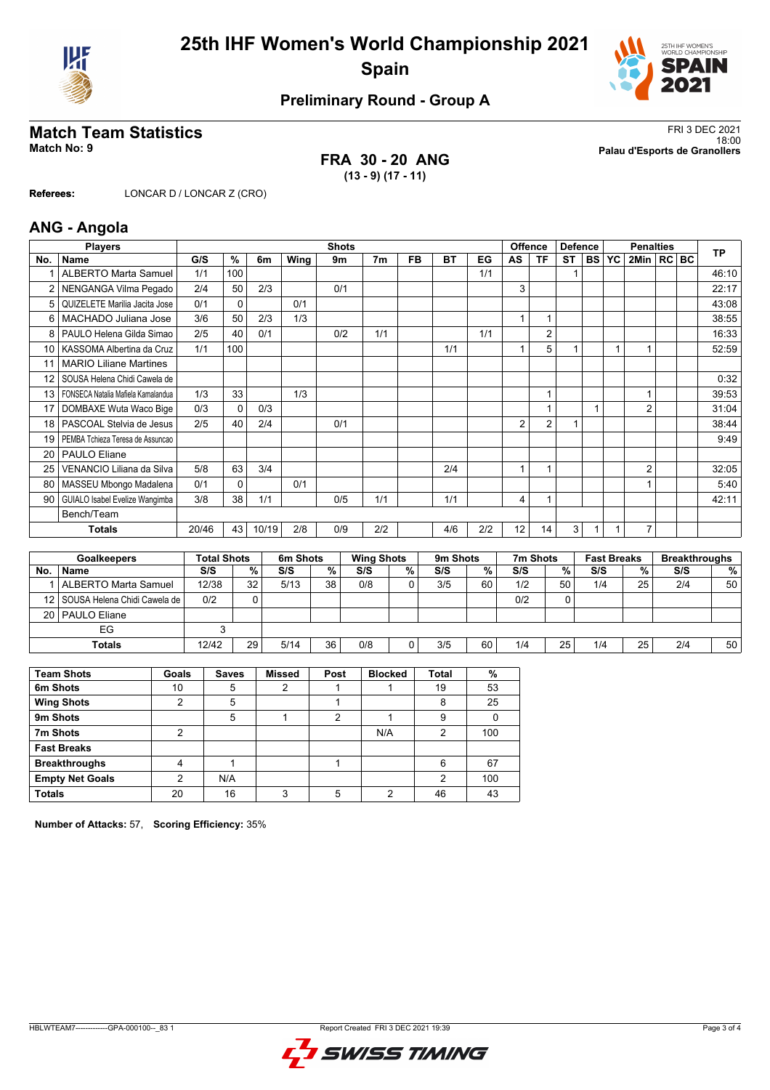



# **Preliminary Round - Group A**

### **FRA 30 - 20 ANG (13 - 9) (17 - 11)**

**Match Team Statistics** FRI 3 DEC 2021 18:00 **Match No: 9 Palau d'Esports de Granollers**

**Referees:** LONCAR D / LONCAR Z (CRO)

### **ANG - Angola**

|           | <b>Players</b>                     |       |                    |       |          | <b>Shots</b> |                   |                   |          |     |                | <b>Offence</b> | <b>Defence</b> |           |                    | <b>Penalties</b> |         |     | <b>TP</b>            |
|-----------|------------------------------------|-------|--------------------|-------|----------|--------------|-------------------|-------------------|----------|-----|----------------|----------------|----------------|-----------|--------------------|------------------|---------|-----|----------------------|
| No.       | <b>Name</b>                        | G/S   | %                  | 6m    | Wing     | 9m           | 7m                | <b>FB</b>         | BT       | EG  | AS             | <b>TF</b>      | <b>ST</b>      | <b>BS</b> | YC                 | 2Min             | $RC$ BC |     |                      |
|           | <b>ALBERTO Marta Samuel</b>        | 1/1   | 100                |       |          |              |                   |                   |          | 1/1 |                |                |                |           |                    |                  |         |     | 46:10                |
|           | NENGANGA Vilma Pegado              | 2/4   | 50                 | 2/3   |          | 0/1          |                   |                   |          |     | 3              |                |                |           |                    |                  |         |     | 22:17                |
| 5         | QUIZELETE Marilia Jacita Jose      | 0/1   | 0                  |       | 0/1      |              |                   |                   |          |     |                |                |                |           |                    |                  |         |     | 43:08                |
| 6         | MACHADO Juliana Jose               | 3/6   | 50                 | 2/3   | 1/3      |              |                   |                   |          |     | 1              | 1              |                |           |                    |                  |         |     | 38:55                |
| 8         | PAULO Helena Gilda Simao           | 2/5   | 40                 | 0/1   |          | 0/2          | 1/1               |                   |          | 1/1 |                | $\overline{2}$ |                |           |                    |                  |         |     | 16:33                |
| 10        | KASSOMA Albertina da Cruz          | 1/1   | 100                |       |          |              |                   |                   | 1/1      |     | 1              | 5              |                |           |                    |                  |         |     | 52:59                |
| 11        | <b>MARIO Liliane Martines</b>      |       |                    |       |          |              |                   |                   |          |     |                |                |                |           |                    |                  |         |     |                      |
| 12        | SOUSA Helena Chidi Cawela de       |       |                    |       |          |              |                   |                   |          |     |                |                |                |           |                    |                  |         |     | 0:32                 |
| 13        | FONSECA Natalia Mafiela Kamalandua | 1/3   | 33                 |       | 1/3      |              |                   |                   |          |     |                | 1              |                |           |                    | 1                |         |     | 39:53                |
| 17        | DOMBAXE Wuta Waco Bige             | 0/3   | $\Omega$           | 0/3   |          |              |                   |                   |          |     |                | 1              |                | 1         |                    | $\overline{2}$   |         |     | 31:04                |
| 18        | PASCOAL Stelvia de Jesus           | 2/5   | 40                 | 2/4   |          | 0/1          |                   |                   |          |     | $\overline{2}$ | $\overline{2}$ |                |           |                    |                  |         |     | 38:44                |
| 19        | PEMBA Tchieza Teresa de Assuncao   |       |                    |       |          |              |                   |                   |          |     |                |                |                |           |                    |                  |         |     | 9:49                 |
| 20        | <b>PAULO Eliane</b>                |       |                    |       |          |              |                   |                   |          |     |                |                |                |           |                    |                  |         |     |                      |
| 25        | VENANCIO Liliana da Silva          | 5/8   | 63                 | 3/4   |          |              |                   |                   | 2/4      |     | 1              | 1              |                |           |                    | $\overline{2}$   |         |     | 32:05                |
| 80        | MASSEU Mbongo Madalena             | 0/1   | 0                  |       | 0/1      |              |                   |                   |          |     |                |                |                |           |                    |                  |         |     | 5:40                 |
| 90        | GUIALO Isabel Evelize Wangimba     | 3/8   | 38                 | 1/1   |          | 0/5          | 1/1               |                   | 1/1      |     | 4              | 1              |                |           |                    |                  |         |     | 42:11                |
|           | Bench/Team                         |       |                    |       |          |              |                   |                   |          |     |                |                |                |           |                    |                  |         |     |                      |
|           | <b>Totals</b>                      | 20/46 | 43                 | 10/19 | 2/8      | 0/9          | 2/2               |                   | 4/6      | 2/2 | 12             | 14             | 3              |           |                    | 7                |         |     |                      |
|           |                                    |       |                    |       |          |              |                   |                   |          |     |                |                |                |           |                    |                  |         |     |                      |
|           | <b>Goalkeepers</b>                 |       | <b>Total Shots</b> |       | 6m Shots |              | <b>Wing Shots</b> |                   | 9m Shots |     |                | 7m Shots       |                |           | <b>Fast Breaks</b> |                  |         |     | <b>Breakthroughs</b> |
| <b>No</b> | <b>Namo</b>                        | 2/2   |                    | 0/2   | S/S      | 0/2          | 2S                | $O_{\mathcal{L}}$ | 212      | 0/2 | S/S            |                | 0/             | 2/2       |                    | 0/2              |         | S/S | $O_{\Lambda}$        |

|     | Goalkeepers                       | Fotal Shots |    | om Snots |    | <b>WING SHOTS</b> |   | <b>YIII SHOLS</b> |    | 7111 SHOTS |     | rast breaks |    | <b>Dreakthroughs</b> |                 |
|-----|-----------------------------------|-------------|----|----------|----|-------------------|---|-------------------|----|------------|-----|-------------|----|----------------------|-----------------|
| No. | <b>Name</b>                       | S/S         | %  | S/S      | %  | S/S               | % | S/S               | %  | S/S        | % , | S/S         | %  | S/S                  | %               |
|     | ALBERTO Marta Samuel              | 12/38       | 32 | 5/13     | 38 | 0/8               |   | 3/5               | 60 | 1/2        | 50  | 1/4         | 25 | 2/4                  | 50              |
|     | 12   SOUSA Helena Chidi Cawela de | 0/2         |    |          |    |                   |   |                   |    | 0/2        |     |             |    |                      |                 |
|     | 20   PAULO Eliane                 |             |    |          |    |                   |   |                   |    |            |     |             |    |                      |                 |
|     | EG                                |             |    |          |    |                   |   |                   |    |            |     |             |    |                      |                 |
|     | Totals                            | 12/42       | 29 | 5/14     | 36 | 0/8               |   | 3/5               | 60 | 1/4        | 25  | 1/4         | 25 | 2/4                  | 50 <sub>1</sub> |

| <b>Team Shots</b>      | Goals | <b>Saves</b> | <b>Missed</b> | Post | <b>Blocked</b> | Total | %   |
|------------------------|-------|--------------|---------------|------|----------------|-------|-----|
| 6m Shots               | 10    | 5            |               |      |                | 19    | 53  |
| <b>Wing Shots</b>      | ◠     | 5            |               |      |                | 8     | 25  |
| 9m Shots               |       | 5            |               | 2    |                | 9     |     |
| 7m Shots               | റ     |              |               |      | N/A            | 2     | 100 |
| <b>Fast Breaks</b>     |       |              |               |      |                |       |     |
| <b>Breakthroughs</b>   | 4     |              |               |      |                | 6     | 67  |
| <b>Empty Net Goals</b> | ◠     | N/A          |               |      |                | 2     | 100 |
| <b>Totals</b>          | 20    | 16           | ົ             |      | ◠              | 46    | 43  |

**Number of Attacks:** 57, **Scoring Efficiency:** 35%